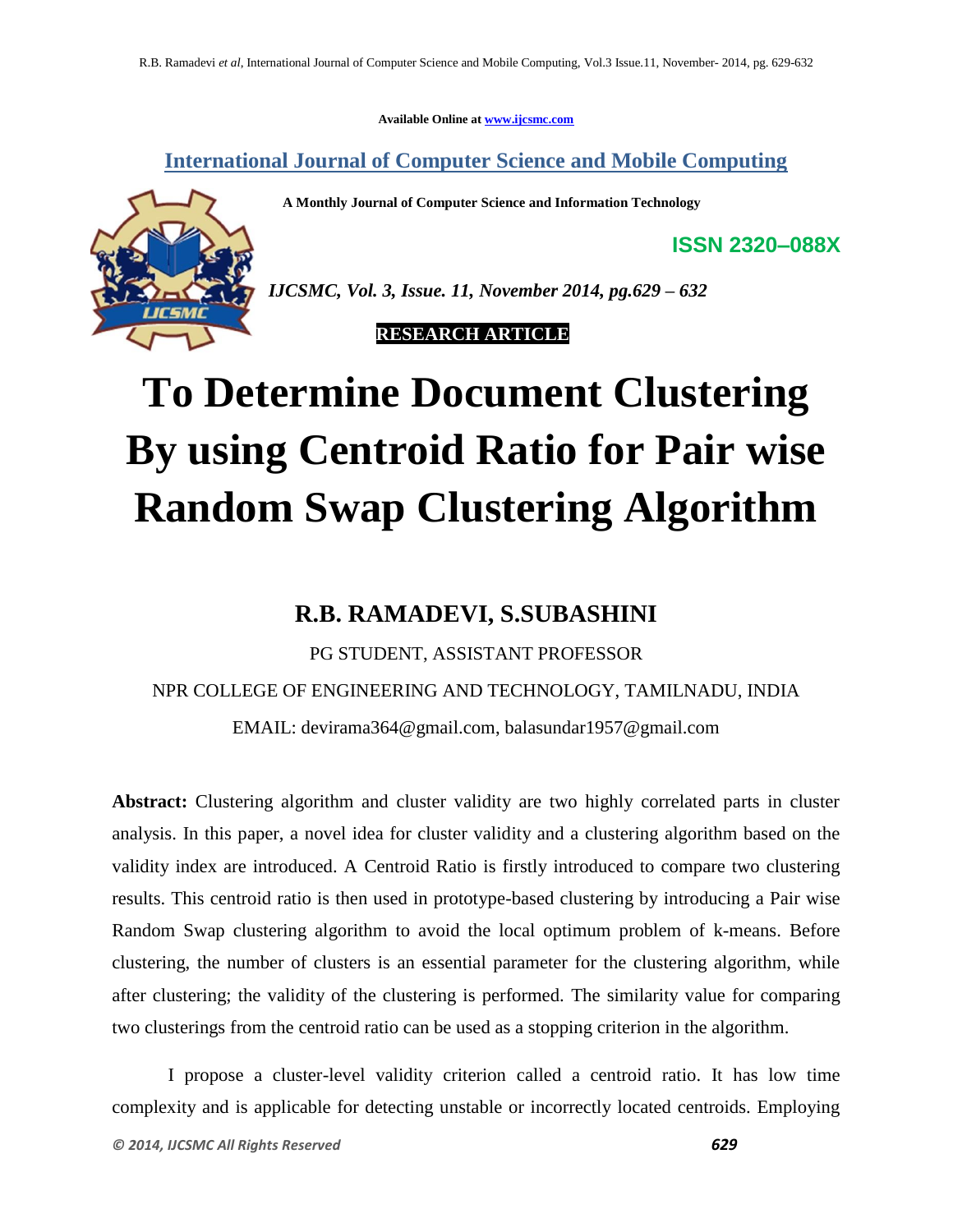**Available Online at www.ijcsmc.com**

**International Journal of Computer Science and Mobile Computing**

 **A Monthly Journal of Computer Science and Information Technology**

*IJCSMC, Vol. 3, Issue. 11, November 2014, pg.629 – 632*

 **RESEARCH ARTICLE**

# **To Determine Document Clustering By using Centroid Ratio for Pair wise Random Swap Clustering Algorithm**

## **R.B. RAMADEVI, S.SUBASHINI**

# PG STUDENT, ASSISTANT PROFESSOR NPR COLLEGE OF ENGINEERING AND TECHNOLOGY, TAMILNADU, INDIA EMAIL: devirama364@gmail.com, balasundar1957@gmail.com

**Abstract:** Clustering algorithm and cluster validity are two highly correlated parts in cluster analysis. In this paper, a novel idea for cluster validity and a clustering algorithm based on the validity index are introduced. A Centroid Ratio is firstly introduced to compare two clustering results. This centroid ratio is then used in prototype-based clustering by introducing a Pair wise Random Swap clustering algorithm to avoid the local optimum problem of k-means. Before clustering, the number of clusters is an essential parameter for the clustering algorithm, while after clustering; the validity of the clustering is performed. The similarity value for comparing two clusterings from the centroid ratio can be used as a stopping criterion in the algorithm.

I propose a cluster-level validity criterion called a centroid ratio. It has low time complexity and is applicable for detecting unstable or incorrectly located centroids. Employing

**ISSN 2320–088X**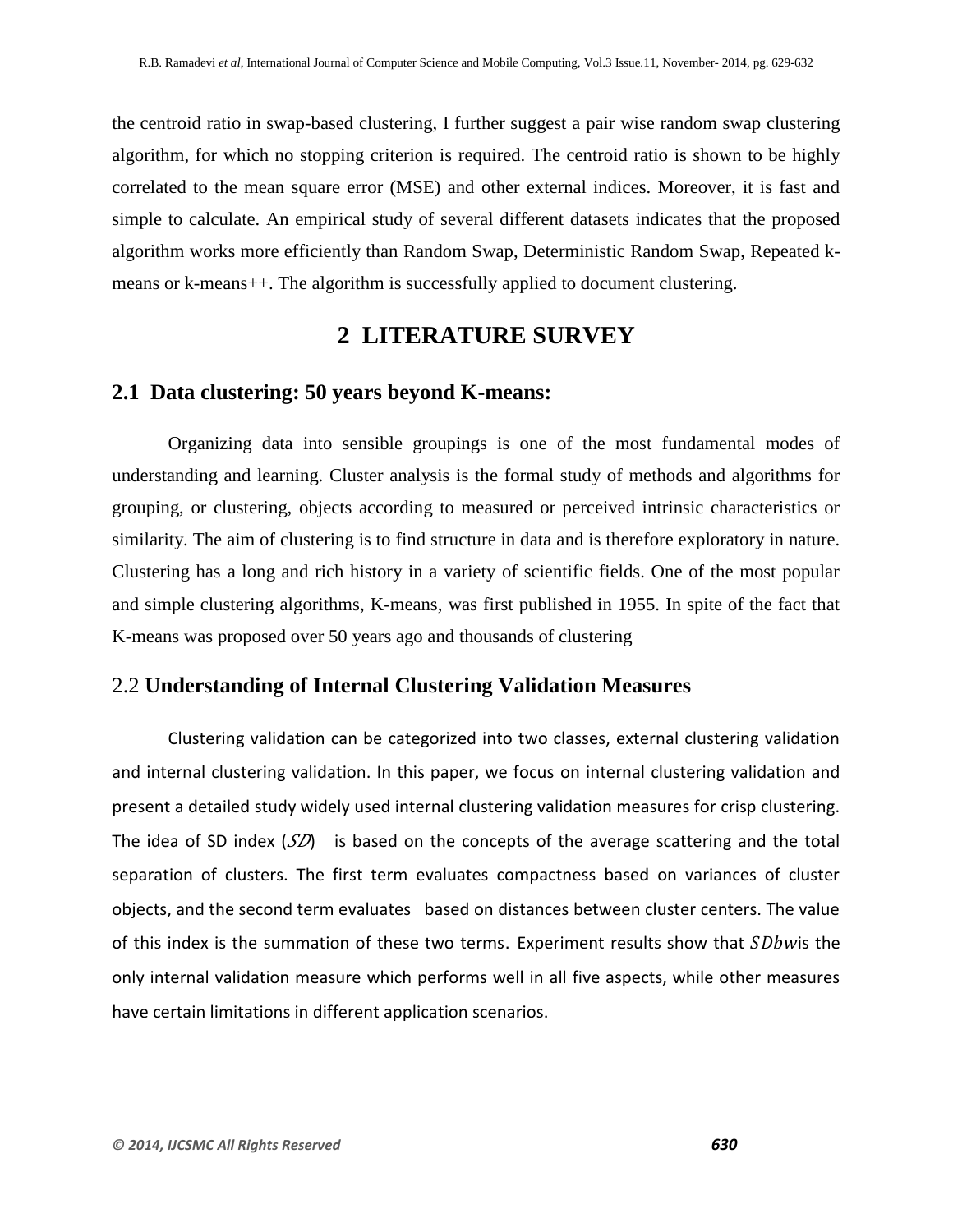the centroid ratio in swap-based clustering, I further suggest a pair wise random swap clustering algorithm, for which no stopping criterion is required. The centroid ratio is shown to be highly correlated to the mean square error (MSE) and other external indices. Moreover, it is fast and simple to calculate. An empirical study of several different datasets indicates that the proposed algorithm works more efficiently than Random Swap, Deterministic Random Swap, Repeated kmeans or k-means++. The algorithm is successfully applied to document clustering.

## **2 LITERATURE SURVEY**

#### **2.1 Data clustering: 50 years beyond K-means:**

Organizing data into sensible groupings is one of the most fundamental modes of understanding and learning. Cluster analysis is the formal study of methods and algorithms for grouping, or clustering, objects according to measured or perceived intrinsic characteristics or similarity. The aim of clustering is to find structure in data and is therefore exploratory in nature. Clustering has a long and rich history in a variety of scientific fields. One of the most popular and simple clustering algorithms, K-means, was first published in 1955. In spite of the fact that K-means was proposed over 50 years ago and thousands of clustering

### 2.2 **Understanding of Internal Clustering Validation Measures**

Clustering validation can be categorized into two classes, external clustering validation and internal clustering validation. In this paper, we focus on internal clustering validation and present a detailed study widely used internal clustering validation measures for crisp clustering. The idea of SD index  $(SD)$  is based on the concepts of the average scattering and the total separation of clusters. The first term evaluates compactness based on variances of cluster objects, and the second term evaluates based on distances between cluster centers. The value of this index is the summation of these two terms. Experiment results show that  $SDb$  is the only internal validation measure which performs well in all five aspects, while other measures have certain limitations in different application scenarios.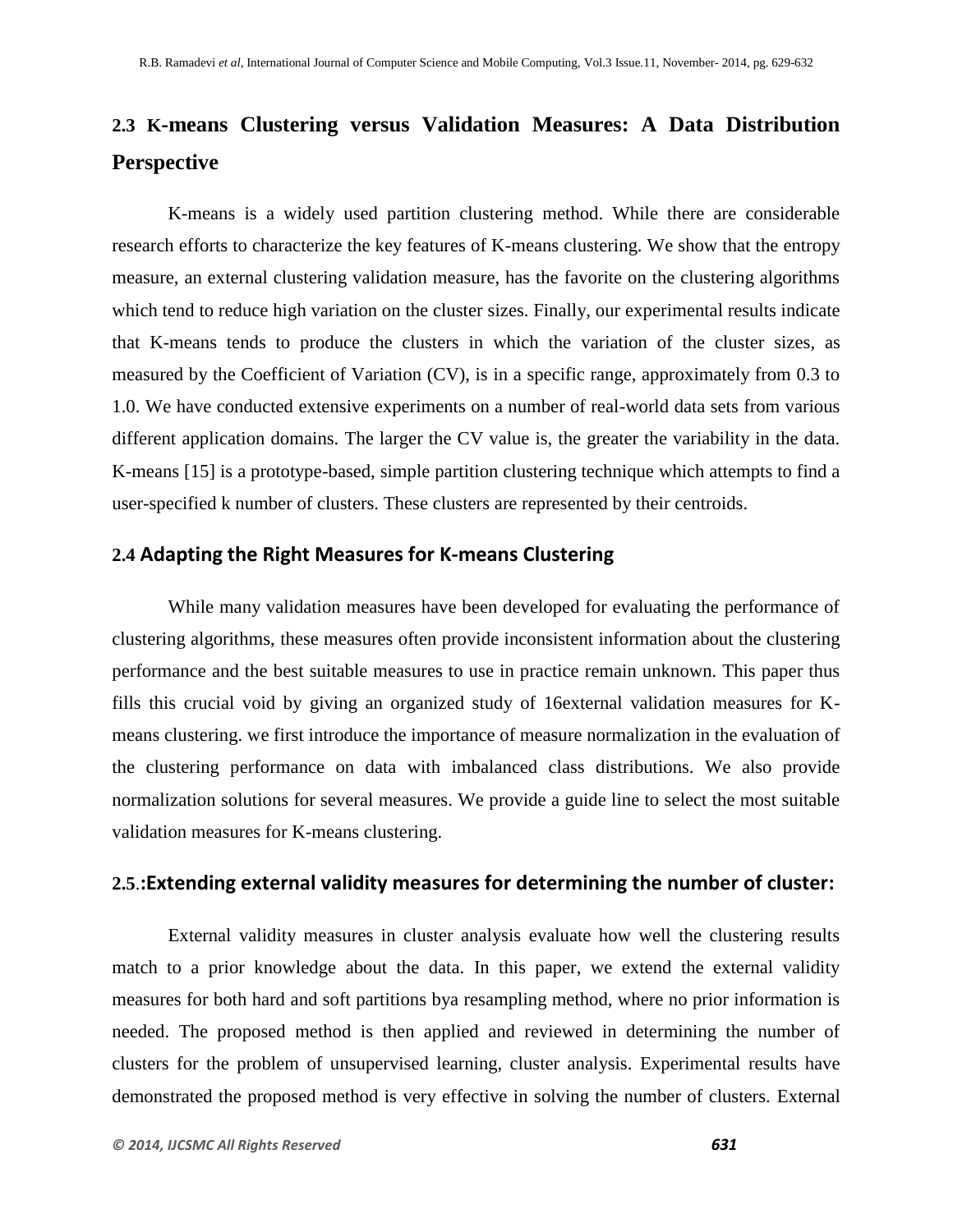# **2.3 K-means Clustering versus Validation Measures: A Data Distribution Perspective**

K-means is a widely used partition clustering method. While there are considerable research efforts to characterize the key features of K-means clustering. We show that the entropy measure, an external clustering validation measure, has the favorite on the clustering algorithms which tend to reduce high variation on the cluster sizes. Finally, our experimental results indicate that K-means tends to produce the clusters in which the variation of the cluster sizes, as measured by the Coefficient of Variation (CV), is in a specific range, approximately from 0.3 to 1.0. We have conducted extensive experiments on a number of real-world data sets from various different application domains. The larger the CV value is, the greater the variability in the data. K-means [15] is a prototype-based, simple partition clustering technique which attempts to find a user-specified k number of clusters. These clusters are represented by their centroids.

#### **2.4 Adapting the Right Measures for K-means Clustering**

While many validation measures have been developed for evaluating the performance of clustering algorithms, these measures often provide inconsistent information about the clustering performance and the best suitable measures to use in practice remain unknown. This paper thus fills this crucial void by giving an organized study of 16external validation measures for Kmeans clustering. we first introduce the importance of measure normalization in the evaluation of the clustering performance on data with imbalanced class distributions. We also provide normalization solutions for several measures. We provide a guide line to select the most suitable validation measures for K-means clustering.

#### **2.5**.**:Extending external validity measures for determining the number of cluster:**

External validity measures in cluster analysis evaluate how well the clustering results match to a prior knowledge about the data. In this paper, we extend the external validity measures for both hard and soft partitions bya resampling method, where no prior information is needed. The proposed method is then applied and reviewed in determining the number of clusters for the problem of unsupervised learning, cluster analysis. Experimental results have demonstrated the proposed method is very effective in solving the number of clusters. External